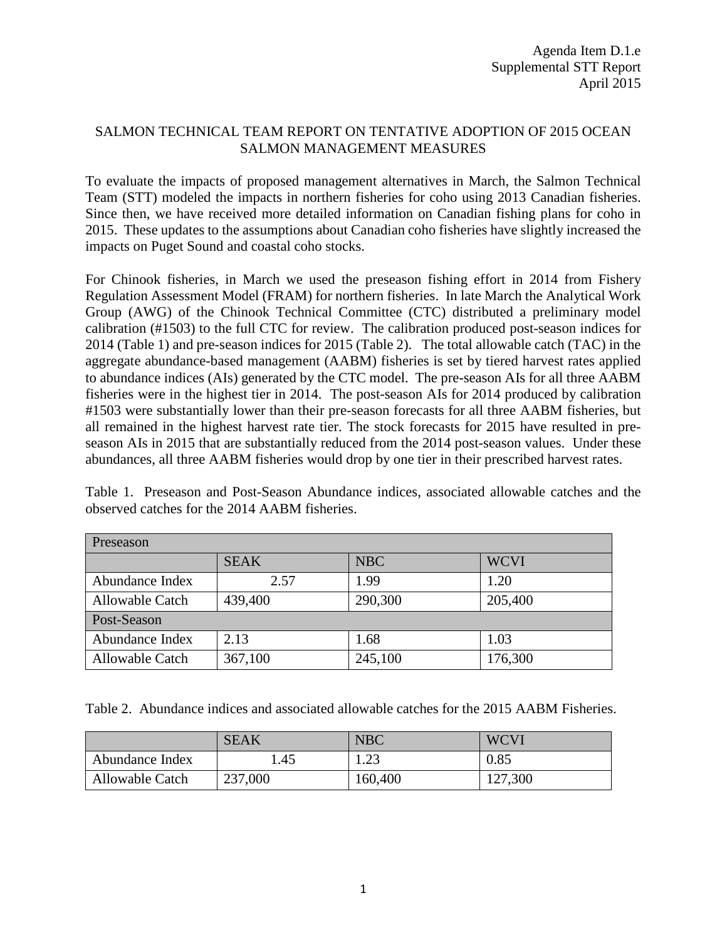## SALMON TECHNICAL TEAM REPORT ON TENTATIVE ADOPTION OF 2015 OCEAN SALMON MANAGEMENT MEASURES

To evaluate the impacts of proposed management alternatives in March, the Salmon Technical Team (STT) modeled the impacts in northern fisheries for coho using 2013 Canadian fisheries. Since then, we have received more detailed information on Canadian fishing plans for coho in 2015. These updates to the assumptions about Canadian coho fisheries have slightly increased the impacts on Puget Sound and coastal coho stocks.

For Chinook fisheries, in March we used the preseason fishing effort in 2014 from Fishery Regulation Assessment Model (FRAM) for northern fisheries. In late March the Analytical Work Group (AWG) of the Chinook Technical Committee (CTC) distributed a preliminary model calibration (#1503) to the full CTC for review. The calibration produced post-season indices for 2014 (Table 1) and pre-season indices for 2015 (Table 2). The total allowable catch (TAC) in the aggregate abundance-based management (AABM) fisheries is set by tiered harvest rates applied to abundance indices (AIs) generated by the CTC model. The pre-season AIs for all three AABM fisheries were in the highest tier in 2014. The post-season AIs for 2014 produced by calibration #1503 were substantially lower than their pre-season forecasts for all three AABM fisheries, but all remained in the highest harvest rate tier. The stock forecasts for 2015 have resulted in preseason AIs in 2015 that are substantially reduced from the 2014 post-season values. Under these abundances, all three AABM fisheries would drop by one tier in their prescribed harvest rates.

Table 1. Preseason and Post-Season Abundance indices, associated allowable catches and the observed catches for the 2014 AABM fisheries.

| Preseason              |             |            |             |  |
|------------------------|-------------|------------|-------------|--|
|                        | <b>SEAK</b> | <b>NBC</b> | <b>WCVI</b> |  |
| Abundance Index        | 2.57        | 1.99       | 1.20        |  |
| <b>Allowable Catch</b> | 439,400     | 290,300    | 205,400     |  |
| Post-Season            |             |            |             |  |
| Abundance Index        | 2.13        | 1.68       | 1.03        |  |
| <b>Allowable Catch</b> | 367,100     | 245,100    | 176,300     |  |

Table 2. Abundance indices and associated allowable catches for the 2015 AABM Fisheries.

|                        | <b>SEAK</b> | <b>NBC</b> | <b>WCVI</b> |
|------------------------|-------------|------------|-------------|
| Abundance Index        | 45. ،       | 1.23       | 0.85        |
| <b>Allowable Catch</b> | 237,000     | 160,400    | 127,300     |